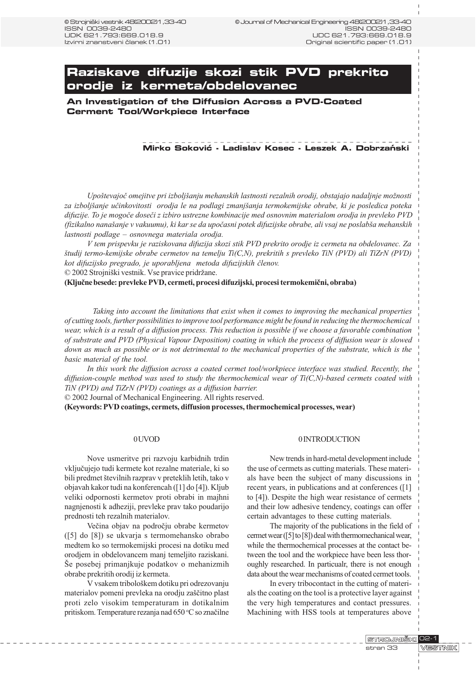# **Raziskave difuzije skozi stik PVD prekrito orodje iz kermeta/obdelovanec**

**An Investigation of the Diffusion Across a PVD-Coated Cerment Tool/Workpiece Interface**

## Mirko Soković - Ladislav Kosec - Leszek A. Dobrzański

Upoštevajoč omejitve pri izboljšanju mehanskih lastnosti rezalnih orodij, obstajajo nadaljnje možnosti za izboljšanje učinkovitosti orodja le na podlagi zmanjšanja termokemijske obrabe, ki je posledica poteka difuzije. To je mogoèe doseèi z izbiro ustrezne kombinacije med osnovnim materialom orodja in prevleko PVD (fizikalno nanašanje v vakuumu), ki kar se da upočasni potek difuzijske obrabe, ali vsaj ne poslabša mehanskih lastnosti podlage – osnovnega materiala orodja.

V tem prispevku je raziskovana difuzija skozi stik PVD prekrito orodje iz cermeta na obdelovanec. Za tudij termo-kemijske obrabe cermetov na temelju Ti(C,N), prekritih s prevleko TiN (PVD) ali TiZrN (PVD) kot difuzijsko pregrado, je uporabljena metoda difuzijskih èlenov. © 2002 Strojniški vestnik. Vse pravice pridržane.

(Kljuène besede: prevleke PVD, cermeti, procesi difuzijski, procesi termokemièni, obraba)

Taking into account the limitations that exist when it comes to improving the mechanical properties of cutting tools, further possibilities to improve tool performance might be found in reducing the thermochemical wear, which is a result of a diffusion process. This reduction is possible if we choose a favorable combination of substrate and PVD (Physical Vapour Deposition) coating in which the process of diffusion wear is slowed down as much as possible or is not detrimental to the mechanical properties of the substrate, which is the basic material of the tool.

In this work the diffusion across a coated cermet tool/workpiece interface was studied. Recently, the diffusion-couple method was used to study the thermochemical wear of  $Ti(C, N)$ -based cermets coated with TiN (PVD) and TiZrN (PVD) coatings as a diffusion barrier.

© 2002 Journal of Mechanical Engineering. All rights reserved.

(Keywords: PVD coatings, cermets, diffusion processes, thermochemical processes, wear)

#### 0 UVOD

Nove usmeritve pri razvoju karbidnih trdin vkljuèujejo tudi kermete kot rezalne materiale, ki so bili predmet številnih razprav v preteklih letih, tako v objavah kakor tudi na konferencah ([1] do [4]). Kljub veliki odpornosti kermetov proti obrabi in majhni nagnjenosti k adheziji, prevleke prav tako poudarijo prednosti teh rezalnih materialov.

Veèina objav na podroèju obrabe kermetov ([5] do [8]) se ukvarja s termomehansko obrabo medtem ko so termokemijski procesi na dotiku med orodjem in obdelovancem manj temeljito raziskani. Še posebej primanjkuje podatkov o mehanizmih obrabe prekritih orodij iz kermeta.

V vsakem tribološkem dotiku pri odrezovanju materialov pomeni prevleka na orodju zaèitno plast proti zelo visokim temperaturam in dotikalnim pritiskom. Temperature rezanja nad 650 °C so značilne

#### 0 INTRODUCTION

New trends in hard-metal development include the use of cermets as cutting materials. These materials have been the subject of many discussions in recent years, in publications and at conferences ([1] to [4]). Despite the high wear resistance of cermets and their low adhesive tendency, coatings can offer certain advantages to these cutting materials.

The majority of the publications in the field of cermet wear ([5] to [8]) deal with thermomechanical wear, while the thermochemical processes at the contact between the tool and the workpiece have been less thoroughly researched. In particualr, there is not enough data about the wear mechanisms of coated cermet tools.

In every tribocontact in the cutting of materials the coating on the tool is a protective layer against the very high temperatures and contact pressures. Machining with HSS tools at temperatures above

STROJNIŠKI 02-1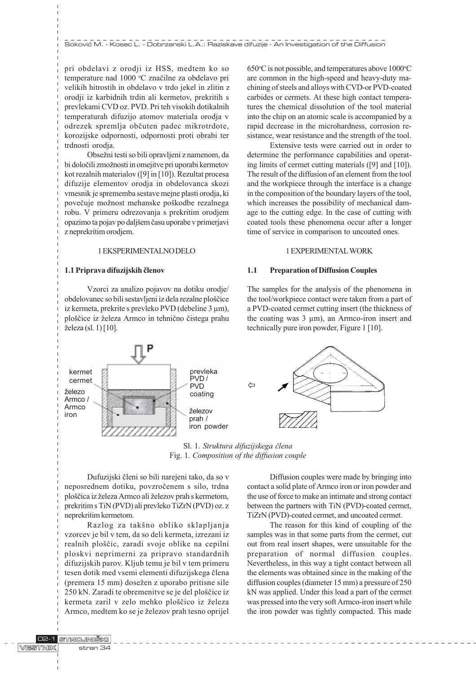pri obdelavi z orodji iz HSS, medtem ko so temperature nad 1000 °C značilne za obdelavo pri velikih hitrostih in obdelavo v trdo jekel in zlitin z orodji iz karbidnih trdin ali kermetov, prekritih s prevlekami CVD oz. PVD. Pri teh visokih dotikalnih temperaturah difuzijo atomov materiala orodja v odrezek spremlja obèuten padec mikrotrdote, korozijske odpornosti, odpornosti proti obrabi ter trdnosti orodja.

Obsežni testi so bili opravljeni z namenom, da bi določili zmožnosti in omejitve pri uporabi kermetov kot rezalnih materialov ([9] in [10]). Rezultat procesa difuzije elementov orodja in obdelovanca skozi vmesnik je sprememba sestave mejne plasti orodja, ki povečuje možnost mehanske poškodbe rezalnega robu. V primeru odrezovanja s prekritim orodjem opazimo ta pojav po daljšem času uporabe v primerjavi z neprekritim orodjem.

## 1 EKSPERIMENTALNO DELO

#### 1.1 Priprava difuzijskih èlenov

Vzorci za analizo pojavov na dotiku orodje/ obdelovanec so bili sestavljeni iz dela rezalne ploščice iz kermeta, prekrite s prevleko PVD (debeline 3 µm), ploščice iz železa Armco in tehnično čistega prahu železa (sl. 1) [10].

650°C is not possible, and temperatures above 1000°C are common in the high-speed and heavy-duty machining of steels and alloys with CVD-or PVD-coated carbides or cermets. At these high contact temperatures the chemical dissolution of the tool material into the chip on an atomic scale is accompanied by a rapid decrease in the microhardness, corrosion resistance, wear resistance and the strength of the tool.

Extensive tests were carried out in order to determine the performance capabilities and operating limits of cermet cutting materials ([9] and [10]). The result of the diffusion of an element from the tool and the workpiece through the interface is a change in the composition of the boundary layers of the tool, which increases the possibility of mechanical damage to the cutting edge. In the case of cutting with coated tools these phenomena occur after a longer time of service in comparison to uncoated ones.

## 1 EXPERIMENTAL WORK

## 1.1 Preparation of Diffusion Couples

The samples for the analysis of the phenomena in the tool/workpiece contact were taken from a part of a PVD-coated cermet cutting insert (the thickness of the coating was  $3 \mu m$ ), an Armco-iron insert and technically pure iron powder, Figure 1 [10].



Sl. 1. Struktura difuzijskega člena Fig. 1. Composition of the diffusion couple

Dufuzijski èleni so bili narejeni tako, da so v neposrednem dotiku, povzroèenem s silo, trdna ploščica iz železa Armco ali železov prah s kermetom, prekritim s TiN (PVD) ali prevleko TiZrN (PVD) oz. z neprekritim kermetom.

Razlog za takšno obliko sklapljanja vzorcev je bil v tem, da so deli kermeta, izrezani iz realnih ploščic, zaradi svoje oblike na cepilni ploskvi neprimerni za pripravo standardnih difuzijskih parov. Kljub temu je bil v tem primeru tesen dotik med vsemi elementi difuzijskega èlena (premera 15 mm) dosežen z uporabo pritisne sile 250 kN. Zaradi te obremenitve se je del ploščice iz kermeta zaril v zelo mehko ploščico iz železa Armco, medtem ko se je železov prah tesno oprijel

Diffusion couples were made by bringing into contact a solid plate of Armco iron or iron powder and the use of force to make an intimate and strong contact between the partners with TiN (PVD)-coated cermet, TiZrN (PVD)-coated cermet, and uncoated cermet.

The reason for this kind of coupling of the samples was in that some parts from the cermet, cut out from real insert shapes, were unsuitable for the preparation of normal diffusion couples. Nevertheless, in this way a tight contact between all the elements was obtained since in the making of the diffusion couples (diameter 15 mm) a pressure of 250 kN was applied. Under this load a part of the cermet was pressed into the very soft Armco-iron insert while the iron powder was tightly compacted. This made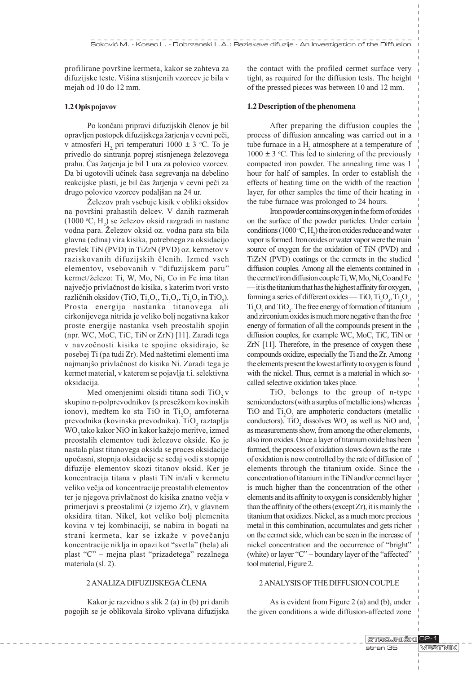profilirane površine kermeta, kakor se zahteva za difuzijske teste. Višina stisnjenih vzorcev je bila v mejah od 10 do 12 mm.

#### 1.2 Opis pojavov

Po konèani pripravi difuzijskih èlenov je bil opravljen postopek difuzijskega žarjenja v cevni peči, v atmosferi  $H_2$  pri temperaturi 1000  $\pm$  3 °C. To je privedlo do sintranja poprej stisnjenega železovega prahu. Čas žarienia je bil 1 ura za polovico vzorcev. Da bi ugotovili učinek časa segrevanja na debelino reakcijske plasti, je bil čas žarjenja v cevni peči za drugo polovico vzorcev podaljšan na 24 ur.

Železov prah vsebuje kisik v obliki oksidov na površini prahastih delcev. V danih razmerah (1000 °C,  $H_2$ ) se železov oksid razgradi in nastane vodna para. Železov oksid oz. vodna para sta bila glavna (edina) vira kisika, potrebnega za oksidacijo prevlek TiN (PVD) in TiZrN (PVD) oz. kermetov v raziskovanih difuzijskih èlenih. Izmed vseh elementov, vsebovanih v "difuzijskem paru" kermet/železo: Ti, W, Mo, Ni, Co in Fe ima titan najveèjo privlaènost do kisika, s katerim tvori vrsto različnih oksidov (TiO, Ti<sub>2</sub>O<sub>3</sub>, Ti<sub>3</sub>O<sub>5</sub>, Ti<sub>4</sub>O<sub>7</sub> in TiO<sub>2</sub>). Prosta energija nastanka titanovega ali cirkonijevega nitrida je veliko bolj negativna kakor proste energije nastanka vseh preostalih spojin (npr. WC, MoC, TiC, TiN or ZrN) [11]. Zaradi tega v navzočnosti kisika te spojine oksidirajo, še posebej Ti (pa tudi Zr). Med naštetimi elementi ima najmanjo privlaènost do kisika Ni. Zaradi tega je kermet material, v katerem se pojavlja t.i. selektivna oksidacija.

Med omenjenimi oksidi titana sodi TiO<sub>2</sub> v skupino n-polprevodnikov (s presežkom kovinskih ionov), medtem ko sta TiO in Ti<sub>2</sub>O<sub>3</sub> amfoterna prevodnika (kovinska prevodnika). Ti $O_2$  raztaplja WO<sub>2</sub> tako kakor NiO in kakor kažejo meritve, izmed preostalih elementov tudi železove okside. Ko je nastala plast titanovega oksida se proces oksidacije upoèasni, stopnja oksidacije se sedaj vodi s stopnjo difuzije elementov skozi titanov oksid. Ker je koncentracija titana v plasti TiN in/ali v kermetu veliko veèja od koncentracije preostalih elementov ter je njegova privlačnost do kisika znatno večja v primerjavi s preostalimi (z izjemo Zr), v glavnem oksidira titan. Nikel, kot veliko bolj plemenita kovina v tej kombinaciji, se nabira in bogati na strani kermeta, kar se izkaže v povečanju koncentracije niklja in opazi kot "svetla" (bela) ali plast "C" - mejna plast "prizadetega" rezalnega materiala (sl. 2).

## 2 ANALIZA DIFUZIJSKEGA ÈLENA

Kakor je razvidno s slik 2 (a) in (b) pri danih pogojih se je oblikovala široko vplivana difuzijska the contact with the profiled cermet surface very tight, as required for the diffusion tests. The height of the pressed pieces was between 10 and 12 mm.

#### 1.2 Description of the phenomena

After preparing the diffusion couples the process of diffusion annealing was carried out in a tube furnace in a  $H_2$  atmosphere at a temperature of  $1000 \pm 3$  °C. This led to sintering of the previously compacted iron powder. The annealing time was 1 hour for half of samples. In order to establish the effects of heating time on the width of the reaction layer, for other samples the time of their heating in the tube furnace was prolonged to 24 hours.

Iron powder contains oxygen in the form of oxides on the surface of the powder particles. Under certain conditions (1000 °C,  $H_2$ ) the iron oxides reduce and water vapor is formed. Iron oxides or water vapor were the main source of oxygen for the oxidation of TiN (PVD) and TiZrN (PVD) coatings or the cermets in the studied diffusion couples. Among all the elements contained in the cermet/iron diffusion couple Ti, W, Mo, Ni, Co and Fe  $\frac{1}{1}$  it is the titanium that has the highest affinity for oxygen, forming a series of different oxides — TiO,  $Ti_2O_3$ ,  $Ti_3O_5$ ,  $Ti<sub>4</sub>O<sub>7</sub>$  and  $TiO<sub>2</sub>$ . The free energy of formation of titanium and zirconium oxides is much more negative than the free energy of formation of all the compounds present in the diffusion couples, for example WC, MoC, TiC, TiN or ZrN [11]. Therefore, in the presence of oxygen these compounds oxidize, especially the Ti and the Zr. Among the elements present the lowest affinity to oxygen is found with the nickel. Thus, cermet is a material in which socalled selective oxidation takes place.

 $TiO<sub>2</sub>$  belongs to the group of n-type semiconductors (with a surplus of metallic ions) whereas TiO and  $Ti<sub>2</sub>O<sub>3</sub>$  are amphoteric conductors (metallic conductors). TiO<sub>2</sub> dissolves  $WO_3$  as well as NiO and, as measurements show, from among the other elements, also iron oxides. Once a layer of titanium oxide has been formed, the process of oxidation slows down as the rate of oxidation is now controlled by the rate of diffusion of elements through the titanium oxide. Since the concentration of titanium in the TiN and/or cermet layer is much higher than the concentration of the other elements and its affinity to oxygen is considerably higher than the affinity of the others (except Zr), it is mainly the titanium that oxidizes. Nickel, as a much more precious metal in this combination, accumulates and gets richer on the cermet side, which can be seen in the increase of nickel concentration and the occurrence of "bright" (white) or layer " $C$ " - boundary layer of the "affected" tool material, Figure 2.

## 2 ANALYSIS OF THE DIFFUSION COUPLE

As is evident from Figure 2 (a) and (b), under the given conditions a wide diffusion-affected zone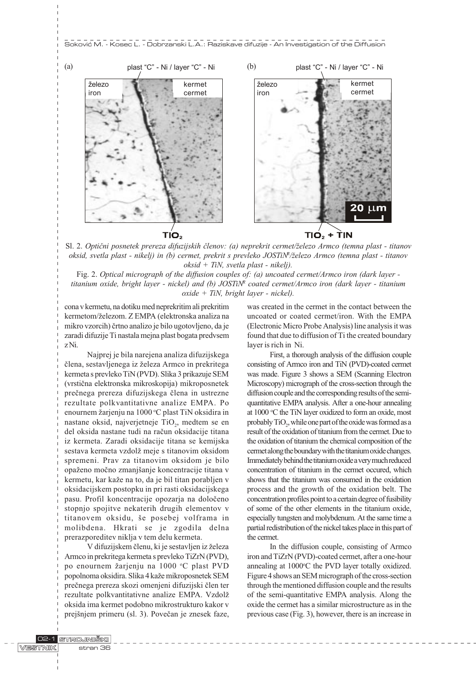#### Soković M. - Kosec L. - Dobrzanski L.A.: Raziskave difuzije - An Investigation of the Diffusion



Sl. 2. Optični posnetek prereza difuzijskih členov: (a) neprekrit cermet/železo Armco (temna plast - titanov oksid, svetla plast - nikelj) in (b) cermet, prekrit s prevleko JOSTiN<sup>R</sup>/železo Armco (temna plast - titanov oksid + TiN, svetla plast - nikelj).

Fig. 2. Optical micrograph of the diffusion couples of: (a) uncoated cermet/Armco iron (dark layer titanium oxide, bright layer - nickel) and (b) JOSTiNR coated cermet/Armco iron (dark layer - titanium oxide + TiN, bright layer - nickel).

cona v kermetu, na dotiku med neprekritim ali prekritim kermetom/železom. Z EMPA (elektronska analiza na mikro vzorcih) èrtno analizo je bilo ugotovljeno, da je zaradi difuzije Ti nastala mejna plast bogata predvsem z Ni.

Najprej je bila narejena analiza difuzijskega člena, sestavljenega iz železa Armco in prekritega kermeta s prevleko TiN (PVD). Slika 3 prikazuje SEM (vrstièna elektronska mikroskopija) mikroposnetek preènega prereza difuzijskega èlena in ustrezne rezultate polkvantitativne analize EMPA. Po enournem žarjenju na 1000 °C plast TiN oksidira in nastane oksid, najverjetneje TiO<sub>2</sub>, medtem se en del oksida nastane tudi na raèun oksidacije titana iz kermeta. Zaradi oksidacije titana se kemijska sestava kermeta vzdolž meje s titanovim oksidom spremeni. Prav za titanovim oksidom je bilo opaženo močno zmanjšanje koncentracije titana v kermetu, kar kaže na to, da je bil titan porabljen v oksidacijskem postopku in pri rasti oksidacijskega pasu. Profil koncentracije opozarja na doloèeno stopnjo spojitve nekaterih drugih elementov v titanovem oksidu, še posebej volframa in molibdena. Hkrati se je zgodila delna prerazporeditev niklja v tem delu kermeta.

V difuzijskem členu, ki je sestavljen iz železa Armco in prekritega kermeta s prevleko TiZrN (PVD), po enournem žarjenju na 1000 °C plast PVD popolnoma oksidira. Slika 4 kaže mikroposnetek SEM preènega prereza skozi omenjeni difuzijski èlen ter rezultate polkvantitativne analize EMPA. Vzdol oksida ima kermet podobno mikrostrukturo kakor v prejšnjem primeru (sl. 3). Povečan je znesek faze, was created in the cermet in the contact between the uncoated or coated cermet/iron. With the EMPA (Electronic Micro Probe Analysis) line analysis it was found that due to diffusion of Ti the created boundary layer is rich in Ni.

First, a thorough analysis of the diffusion couple consisting of Armco iron and TiN (PVD)-coated cermet was made. Figure 3 shows a SEM (Scanning Electron Microscopy) micrograph of the cross-section through the diffusion couple and the corresponding results of the semiquantitative EMPA analysis. After a one-hour annealing at 1000 °C the TiN layer oxidized to form an oxide, most probably  $\text{TiO}_2$ , while one part of the oxide was formed as a result of the oxidation of titanium from the cermet. Due to the oxidation of titanium the chemical composition of the cermet along the boundary with the titanium oxide changes. Immediately behind the titanium oxide a very much reduced concentration of titanium in the cermet occured, which shows that the titanium was consumed in the oxidation process and the growth of the oxidation belt. The concentration profiles point to a certain degree of fusibility of some of the other elements in the titanium oxide, especially tungsten and molybdenum. At the same time a partial redistribution of the nickel takes place in this part of the cermet.

In the diffusion couple, consisting of Armco iron and TiZrN (PVD)-coated cermet, after a one-hour annealing at 1000°C the PVD layer totally oxidized. Figure 4 shows an SEM micrograph of the cross-section through the mentioned diffusion couple and the results of the semi-quantitative EMPA analysis. Along the oxide the cermet has a similar microstructure as in the previous case (Fig. 3), however, there is an increase in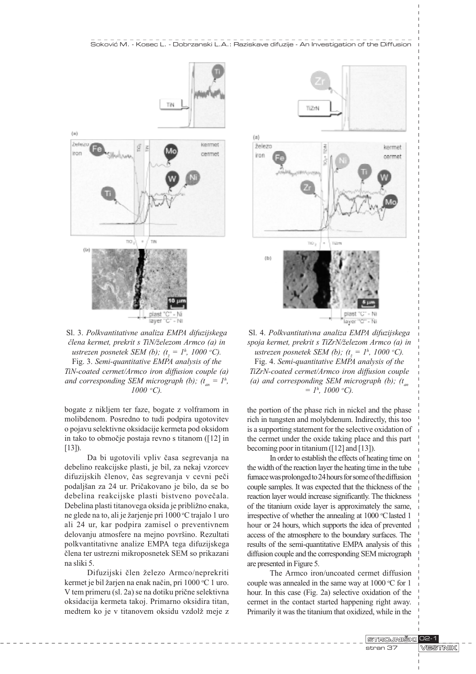

Sl. 3. Polkvantitativne analiza EMPA difuzijskega člena kermet, prekrit s TiN/železom Armco (a) in ustrezen posnetek SEM (b); ( $t_{\tilde{z}} = I^h$ , 1000 °C). Fig. 3. Semi-quantitative EMPA analysis of the TiN-coated cermet/Armco iron diffusion couple (a) and corresponding SEM micrograph (b);  $(t_{_{an}} = 1^h,$ 1000 o C).

bogate z nikljem ter faze, bogate z volframom in molibdenom. Posredno to tudi podpira ugotovitev o pojavu selektivne oksidacije kermeta pod oksidom in tako to obmoèje postaja revno s titanom ([12] in  $[13]$ ).

Da bi ugotovili vpliv èasa segrevanja na debelino reakcijske plasti, je bil, za nekaj vzorcev difuzijskih èlenov, èas segrevanja v cevni peèi podaljan za 24 ur. Prièakovano je bilo, da se bo debelina reakcijske plasti bistveno poveèala. Debelina plasti titanovega oksida je približno enaka, ne glede na to, ali je žarjenje pri 1000 °C trajalo 1 uro ali 24 ur, kar podpira zamisel o preventivnem delovanju atmosfere na mejno površino. Rezultati polkvantitativne analize EMPA tega difuzijskega èlena ter ustrezni mikroposnetek SEM so prikazani na sliki 5.

Difuzijski člen železo Armco/neprekriti kermet je bil žarjen na enak način, pri 1000 °C 1 uro. V tem primeru (sl. 2a) se na dotiku priène selektivna oksidacija kermeta takoj. Primarno oksidira titan, medtem ko je v titanovem oksidu vzdolž meje z



Sl. 4. Polkvantitativna analiza EMPA difuzijskega spoja kermet, prekrit s TiZrN/železom Armco (a) in ustrezen posnetek SEM (b); ( $t_{\tilde{z}} = I^h$ , 1000 °C). Fig. 4. Semi-quantitative EMPA analysis of the TiZrN-coated cermet/Armco iron diffusion couple (a) and corresponding SEM micrograph (b);  $(t_m)$  $=$  1<sup>h</sup>, 1000 °C).

the portion of the phase rich in nickel and the phase rich in tungsten and molybdenum. Indirectly, this too is a supporting statement for the selective oxidation of the cermet under the oxide taking place and this part becoming poor in titanium ([12] and [13]).

In order to establish the effects of heating time on the width of the reaction layer the heating time in the tube furnace was prolonged to 24 hours for some of the diffusion couple samples. It was expected that the thickness of the reaction layer would increase significantly. The thickness of the titanium oxide layer is approximately the same, irrespective of whether the annealing at 1000 °C lasted 1 hour or 24 hours, which supports the idea of prevented access of the atmosphere to the boundary surfaces. The results of the semi-quantitative EMPA analysis of this diffusion couple and the corresponding SEM micrograph are presented in Figure 5.

The Armco iron/uncoated cermet diffusion couple was annealed in the same way at  $1000$  °C for  $1$ hour. In this case (Fig. 2a) selective oxidation of the cermet in the contact started happening right away. Primarily it was the titanium that oxidized, while in the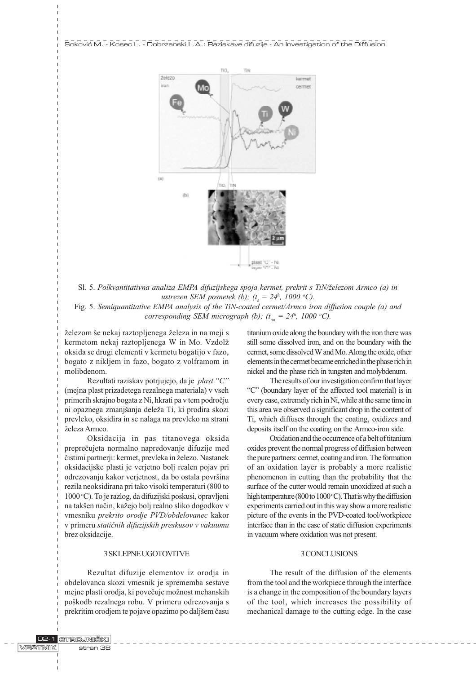

Sl. 5. Polkvantitativna analiza EMPA difuzijskega spoja kermet, prekrit s TiN/železom Armco (a) in ustrezen SEM posnetek (b); ( $t_z = 24^h$ , 1000 °C).

Fig. 5. Semiquantitative EMPA analysis of the TiN-coated cermet/Armco iron diffusion couple (a) and corresponding SEM micrograph (b);  $(t_{an} = 24^h, 1000 \degree C)$ .

železom še nekaj raztopljenega železa in na meji s kermetom nekaj raztopljenega W in Mo. Vzdol oksida se drugi elementi v kermetu bogatijo v fazo, bogato z nikljem in fazo, bogato z volframom in molibdenom.

Rezultati raziskav potrjujejo, da je plast "C" (mejna plast prizadetega rezalnega materiala) v vseh primerih skrajno bogata z Ni, hkrati pa v tem podroèju ni opaznega zmanjšanja deleža Ti, ki prodira skozi prevleko, oksidira in se nalaga na prevleko na strani železa Armco.

Oksidacija in pas titanovega oksida prepreèujeta normalno napredovanje difuzije med čistimi partnerji: kermet, prevleka in železo. Nastanek oksidacijske plasti je verjetno bolj realen pojav pri odrezovanju kakor verjetnost, da bo ostala površina rezila neoksidirana pri tako visoki temperaturi (800 to 1000 °C). To je razlog, da difuzijski poskusi, opravljeni na takšen način, kažejo bolj realno sliko dogodkov v vmesniku prekrito orodje PVD/obdelovanec kakor v primeru statiènih difuzijskih preskusov v vakuumu brez oksidacije.

#### 3 SKLEPNE UGOTOVITVE

Rezultat difuzije elementov iz orodja in obdelovanca skozi vmesnik je sprememba sestave mejne plasti orodja, ki povečuje možnost mehanskih pokodb rezalnega robu. V primeru odrezovanja s prekritim orodjem te pojave opazimo po daljšem času titanium oxide along the boundary with the iron there was still some dissolved iron, and on the boundary with the cermet, some dissolved W and Mo. Along the oxide, other elements in the cermet became enriched in the phase rich in nickel and the phase rich in tungsten and molybdenum.

The results of our investigation confirm that layer "C" (boundary layer of the affected tool material) is in every case, extremely rich in Ni, while at the same time in this area we observed a significant drop in the content of Ti, which diffuses through the coating, oxidizes and deposits itself on the coating on the Armco-iron side.

Oxidation and the occurrence of a belt of titanium oxides prevent the normal progress of diffusion between the pure partners: cermet, coating and iron. The formation of an oxidation layer is probably a more realistic phenomenon in cutting than the probability that the surface of the cutter would remain unoxidized at such a high temperature (800 to 1000 °C). That is why the diffusion experiments carried out in this way show a more realistic picture of the events in the PVD-coated tool/workpiece interface than in the case of static diffusion experiments in vacuum where oxidation was not present.

### 3 CONCLUSIONS

The result of the diffusion of the elements from the tool and the workpiece through the interface is a change in the composition of the boundary layers of the tool, which increases the possibility of mechanical damage to the cutting edge. In the case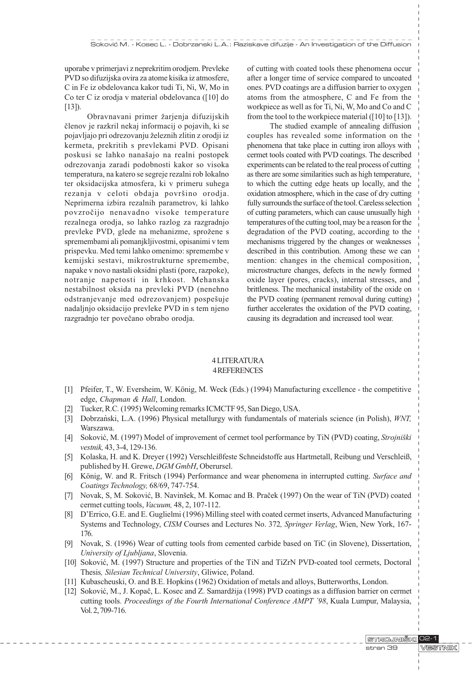uporabe v primerjavi z neprekritim orodjem. Prevleke PVD so difuzijska ovira za atome kisika iz atmosfere, C in Fe iz obdelovanca kakor tudi Ti, Ni, W, Mo in Co ter C iz orodja v material obdelovanca ([10] do  $(13)$ .

Obravnavani primer žarjenja difuzijskih èlenov je razkril nekaj informacij o pojavih, ki se pojavljajo pri odrezovanju železnih zlitin z orodji iz kermeta, prekritih s prevlekami PVD. Opisani poskusi se lahko nanašajo na realni postopek odrezovanja zaradi podobnosti kakor so visoka temperatura, na katero se segreje rezalni rob lokalno ter oksidacijska atmosfera, ki v primeru suhega rezanja v celoti obdaja površino orodja. Neprimerna izbira rezalnih parametrov, ki lahko povzroèijo nenavadno visoke temperature rezalnega orodja, so lahko razlog za razgradnjo prevleke PVD, glede na mehanizme, sprožene s spremembami ali pomanjkljivostmi, opisanimi v tem prispevku. Med temi lahko omenimo: spremembe v kemijski sestavi, mikrostrukturne spremembe, napake v novo nastali oksidni plasti (pore, razpoke), notranje napetosti in krhkost. Mehanska nestabilnost oksida na prevleki PVD (nenehno odstranjevanje med odrezovanjem) pospešuje nadaljnjo oksidacijo prevleke PVD in s tem njeno razgradnjo ter poveèano obrabo orodja.

of cutting with coated tools these phenomena occur after a longer time of service compared to uncoated ones. PVD coatings are a diffusion barrier to oxygen atoms from the atmosphere, C and Fe from the workpiece as well as for Ti, Ni, W, Mo and Co and C from the tool to the workpiece material ([10] to [13]).

The studied example of annealing diffusion couples has revealed some information on the phenomena that take place in cutting iron alloys with cermet tools coated with PVD coatings. The described experiments can be related to the real process of cutting as there are some similarities such as high temperature, to which the cutting edge heats up locally, and the oxidation atmosphere, which in the case of dry cutting fully surrounds the surface of the tool. Careless selection of cutting parameters, which can cause unusually high temperatures of the cutting tool, may be a reason for the degradation of the PVD coating, according to the mechanisms triggered by the changes or weaknesses described in this contribution. Among these we can mention: changes in the chemical composition, microstructure changes, defects in the newly formed oxide layer (pores, cracks), internal stresses, and brittleness. The mechanical instability of the oxide on the PVD coating (permanent removal during cutting) further accelerates the oxidation of the PVD coating, causing its degradation and increased tool wear.

## 4 LITERATURA 4 REFERENCES

- [1] Pfeifer, T., W. Eversheim, W. König, M. Weck (Eds.) (1994) Manufacturing excellence the competitive edge, Chapman & Hall, London.
- [2] Tucker, R.C. (1995) Welcoming remarks ICMCTF 95, San Diego, USA.
- [3] Dobrzanski, L.A. (1996) Physical metallurgy with fundamentals of materials science (in Polish), WNT, Warszawa.
- [4] Soković, M. (1997) Model of improvement of cermet tool performance by TiN (PVD) coating, Strojniški vestnik, 43, 3-4, 129-136.
- [5] Kolaska, H. and K. Dreyer (1992) Verschleißfeste Schneidstoffe aus Hartmetall, Reibung und Verschleiß, published by H. Grewe, DGM GmbH, Oberursel.
- [6] König, W. and R. Fritsch (1994) Performance and wear phenomena in interrupted cutting. Surface and Coatings Technology, 68/69, 747-754.
- [7] Novak, S, M. Soković, B. Navinšek, M. Komac and B. Praček (1997) On the wear of TiN (PVD) coated cermet cutting tools, Vacuum, 48, 2, 107-112.
- [8] DErrico, G.E. and E. Guglielmi (1996) Milling steel with coated cermet inserts, Advanced Manufacturing Systems and Technology, CISM Courses and Lectures No. 372, Springer Verlag, Wien, New York, 167- 176.
- [9] Novak, S. (1996) Wear of cutting tools from cemented carbide based on TiC (in Slovene), Dissertation, University of Ljubljana, Slovenia.
- [10] Soković, M. (1997) Structure and properties of the TiN and TiZrN PVD-coated tool cermets, Doctoral Thesis, Silesian Technical University, Gliwice, Poland.
- [11] Kubascheuski, O. and B.E. Hopkins (1962) Oxidation of metals and alloys, Butterworths, London.
- [12] Soković, M., J. Kopač, L. Kosec and Z. Samardžija (1998) PVD coatings as a diffusion barrier on cermet cutting tools. Proceedings of the Fourth International Conference AMPT '98, Kuala Lumpur, Malaysia, Vol. 2, 709-716.